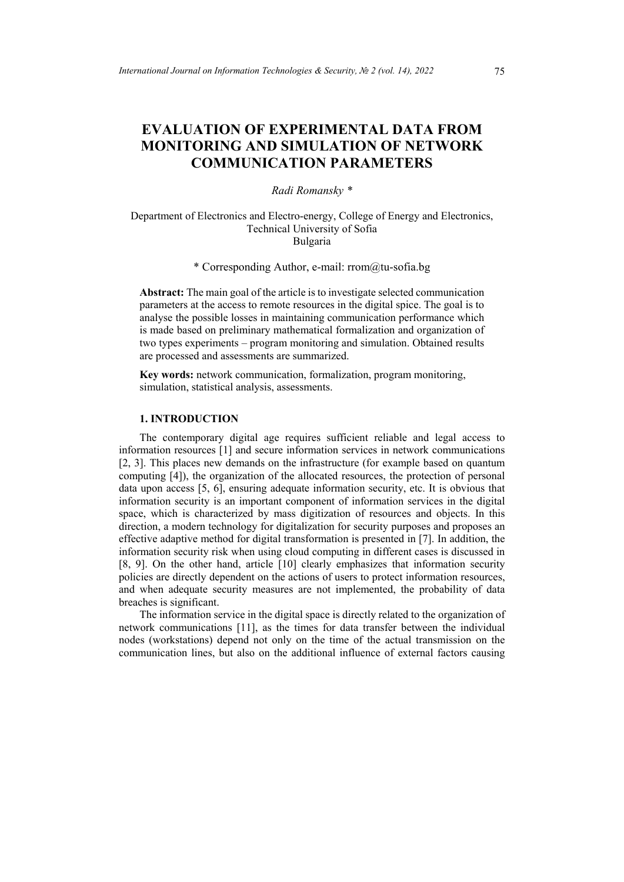# **EVALUATION OF EXPERIMENTAL DATA FROM MONITORING AND SIMULATION OF NETWORK COMMUNICATION PARAMETERS**

## *Radi Romansky \**

## Department of Electronics and Electro-energy, College of Energy and Electronics, Technical University of Sofia Bulgaria

\* Corresponding Author, e-mail: rrom@tu-sofia.bg

**Abstract:** The main goal of the article is to investigate selected communication parameters at the access to remote resources in the digital spice. The goal is to analyse the possible losses in maintaining communication performance which is made based on preliminary mathematical formalization and organization of two types experiments – program monitoring and simulation. Obtained results are processed and assessments are summarized.

**Key words:** network communication, formalization, program monitoring, simulation, statistical analysis, assessments.

# **1. INTRODUCTION**

The contemporary digital age requires sufficient reliable and legal access to information resources [1] and secure information services in network communications [2, 3]. This places new demands on the infrastructure (for example based on quantum computing [4]), the organization of the allocated resources, the protection of personal data upon access [5, 6], ensuring adequate information security, etc. It is obvious that information security is an important component of information services in the digital space, which is characterized by mass digitization of resources and objects. In this direction, a modern technology for digitalization for security purposes and proposes an effective adaptive method for digital transformation is presented in [7]. In addition, the information security risk when using cloud computing in different cases is discussed in [8, 9]. On the other hand, article [10] clearly emphasizes that information security policies are directly dependent on the actions of users to protect information resources, and when adequate security measures are not implemented, the probability of data breaches is significant.

The information service in the digital space is directly related to the organization of network communications [11], as the times for data transfer between the individual nodes (workstations) depend not only on the time of the actual transmission on the communication lines, but also on the additional influence of external factors causing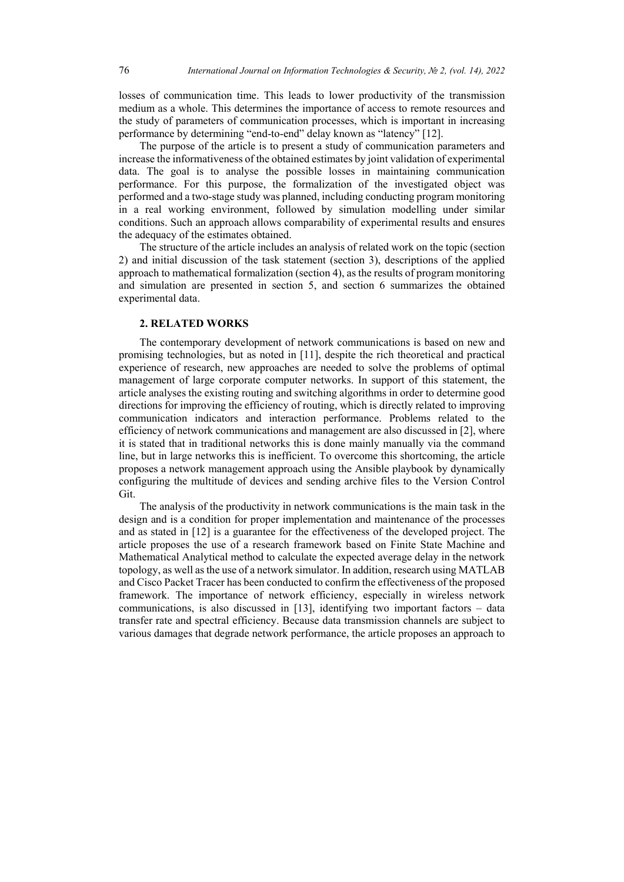losses of communication time. This leads to lower productivity of the transmission medium as a whole. This determines the importance of access to remote resources and the study of parameters of communication processes, which is important in increasing performance by determining "end-to-end" delay known as "latency" [12].

The purpose of the article is to present a study of communication parameters and increase the informativeness of the obtained estimates by joint validation of experimental data. The goal is to analyse the possible losses in maintaining communication performance. For this purpose, the formalization of the investigated object was performed and a two-stage study was planned, including conducting program monitoring in a real working environment, followed by simulation modelling under similar conditions. Such an approach allows comparability of experimental results and ensures the adequacy of the estimates obtained.

The structure of the article includes an analysis of related work on the topic (section 2) and initial discussion of the task statement (section 3), descriptions of the applied approach to mathematical formalization (section 4), as the results of program monitoring and simulation are presented in section 5, and section 6 summarizes the obtained experimental data.

## **2. RELATED WORKS**

The contemporary development of network communications is based on new and promising technologies, but as noted in [11], despite the rich theoretical and practical experience of research, new approaches are needed to solve the problems of optimal management of large corporate computer networks. In support of this statement, the article analyses the existing routing and switching algorithms in order to determine good directions for improving the efficiency of routing, which is directly related to improving communication indicators and interaction performance. Problems related to the efficiency of network communications and management are also discussed in [2], where it is stated that in traditional networks this is done mainly manually via the command line, but in large networks this is inefficient. To overcome this shortcoming, the article proposes a network management approach using the Ansible playbook by dynamically configuring the multitude of devices and sending archive files to the Version Control Git.

The analysis of the productivity in network communications is the main task in the design and is a condition for proper implementation and maintenance of the processes and as stated in [12] is a guarantee for the effectiveness of the developed project. The article proposes the use of a research framework based on Finite State Machine and Mathematical Analytical method to calculate the expected average delay in the network topology, as well as the use of a network simulator. In addition, research using MATLAB and Cisco Packet Tracer has been conducted to confirm the effectiveness of the proposed framework. The importance of network efficiency, especially in wireless network communications, is also discussed in [13], identifying two important factors – data transfer rate and spectral efficiency. Because data transmission channels are subject to various damages that degrade network performance, the article proposes an approach to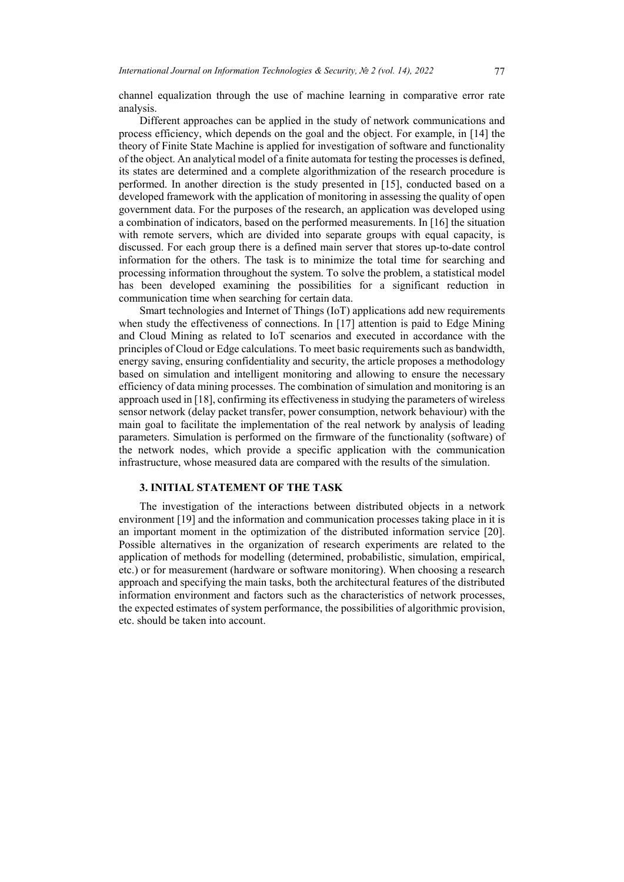channel equalization through the use of machine learning in comparative error rate analysis.

Different approaches can be applied in the study of network communications and process efficiency, which depends on the goal and the object. For example, in [14] the theory of Finite State Machine is applied for investigation of software and functionality of the object. An analytical model of a finite automata for testing the processes is defined, its states are determined and a complete algorithmization of the research procedure is performed. In another direction is the study presented in [15], conducted based on a developed framework with the application of monitoring in assessing the quality of open government data. For the purposes of the research, an application was developed using a combination of indicators, based on the performed measurements. In [16] the situation with remote servers, which are divided into separate groups with equal capacity, is discussed. For each group there is a defined main server that stores up-to-date control information for the others. The task is to minimize the total time for searching and processing information throughout the system. To solve the problem, a statistical model has been developed examining the possibilities for a significant reduction in communication time when searching for certain data.

Smart technologies and Internet of Things (IoT) applications add new requirements when study the effectiveness of connections. In [17] attention is paid to Edge Mining and Cloud Mining as related to IoT scenarios and executed in accordance with the principles of Cloud or Edge calculations. To meet basic requirements such as bandwidth, energy saving, ensuring confidentiality and security, the article proposes a methodology based on simulation and intelligent monitoring and allowing to ensure the necessary efficiency of data mining processes. The combination of simulation and monitoring is an approach used in [18], confirming its effectiveness in studying the parameters of wireless sensor network (delay packet transfer, power consumption, network behaviour) with the main goal to facilitate the implementation of the real network by analysis of leading parameters. Simulation is performed on the firmware of the functionality (software) of the network nodes, which provide a specific application with the communication infrastructure, whose measured data are compared with the results of the simulation.

## **3. INITIAL STATEMENT OF THE TASK**

The investigation of the interactions between distributed objects in a network environment [19] and the information and communication processes taking place in it is an important moment in the optimization of the distributed information service [20]. Possible alternatives in the organization of research experiments are related to the application of methods for modelling (determined, probabilistic, simulation, empirical, etc.) or for measurement (hardware or software monitoring). When choosing a research approach and specifying the main tasks, both the architectural features of the distributed information environment and factors such as the characteristics of network processes, the expected estimates of system performance, the possibilities of algorithmic provision, etc. should be taken into account.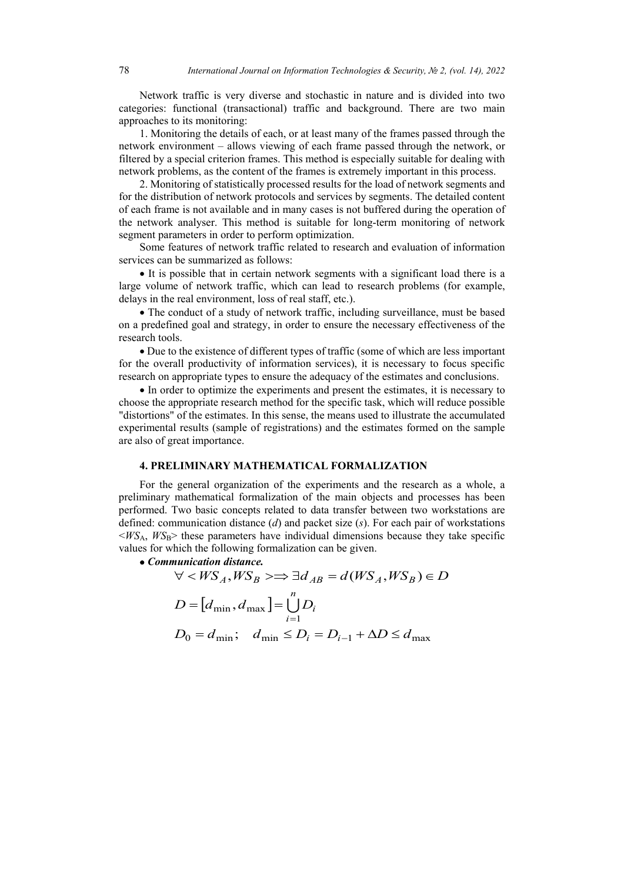Network traffic is very diverse and stochastic in nature and is divided into two categories: functional (transactional) traffic and background. There are two main approaches to its monitoring:

1. Monitoring the details of each, or at least many of the frames passed through the network environment – allows viewing of each frame passed through the network, or filtered by a special criterion frames. This method is especially suitable for dealing with network problems, as the content of the frames is extremely important in this process.

2. Monitoring of statistically processed results for the load of network segments and for the distribution of network protocols and services by segments. The detailed content of each frame is not available and in many cases is not buffered during the operation of the network analyser. This method is suitable for long-term monitoring of network segment parameters in order to perform optimization.

Some features of network traffic related to research and evaluation of information services can be summarized as follows:

• It is possible that in certain network segments with a significant load there is a large volume of network traffic, which can lead to research problems (for example, delays in the real environment, loss of real staff, etc.).

• The conduct of a study of network traffic, including surveillance, must be based on a predefined goal and strategy, in order to ensure the necessary effectiveness of the research tools.

• Due to the existence of different types of traffic (some of which are less important for the overall productivity of information services), it is necessary to focus specific research on appropriate types to ensure the adequacy of the estimates and conclusions.

• In order to optimize the experiments and present the estimates, it is necessary to choose the appropriate research method for the specific task, which will reduce possible "distortions" of the estimates. In this sense, the means used to illustrate the accumulated experimental results (sample of registrations) and the estimates formed on the sample are also of great importance.

## **4. PRELIMINARY MATHEMATICAL FORMALIZATION**

For the general organization of the experiments and the research as a whole, a preliminary mathematical formalization of the main objects and processes has been performed. Two basic concepts related to data transfer between two workstations are defined: communication distance (*d*) and packet size (*s*). For each pair of workstations  $\langle W S_A, W S_B \rangle$  these parameters have individual dimensions because they take specific values for which the following formalization can be given.

• *Communication distance.*

$$
\forall \langle WS_A, WS_B \rangle \Longrightarrow \exists d_{AB} = d(WS_A, WS_B) \in D
$$
  

$$
D = [d_{\min}, d_{\max}] = \bigcup_{i=1}^{n} D_i
$$
  

$$
D_0 = d_{\min}; \quad d_{\min} \le D_i = D_{i-1} + \Delta D \le d_{\max}
$$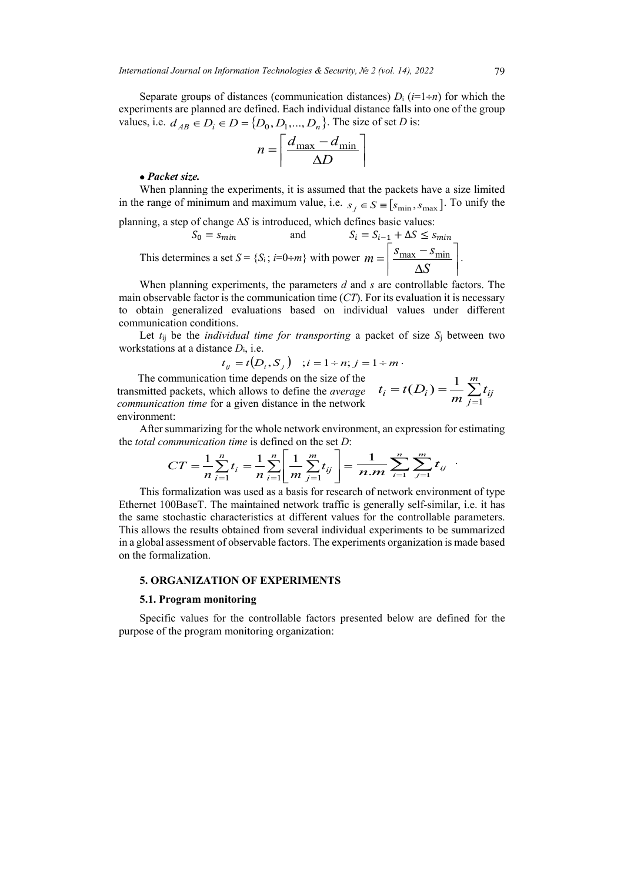Separate groups of distances (communication distances)  $D_i$  ( $i=1+n$ ) for which the experiments are planned are defined. Each individual distance falls into one of the group values, i.e. *d*<sub>*AB*</sub> ∈ *D<sub>i</sub>* ∈ *D* = {*D*<sub>0</sub>, *D*<sub>1</sub>,..., *D<sub>n</sub>*}. The size of set *D* is:

$$
n = \left\lceil \frac{d_{\text{max}} - d_{\text{min}}}{\Delta D} \right\rceil
$$

## • *Packet size.*

When planning the experiments, it is assumed that the packets have a size limited in the range of minimum and maximum value, i.e.  $s_j \in S = [s_{\min}, s_{\max}]$ . To unify the

planning, a step of change 
$$
\Delta S
$$
 is introduced, which defines basic values:  
\n
$$
S_0 = s_{min} \qquad \text{and} \qquad S_i = S_{i-1} + \Delta S \le s_{min}
$$
\nThis determines a set  $S = \{S_i : i = 0 \div m\}$  with power  $m = \left\lceil \frac{s_{max} - s_{min}}{\Delta S} \right\rceil$ .

When planning experiments, the parameters *d* and *s* are controllable factors. The main observable factor is the communication time (*CT*). For its evaluation it is necessary to obtain generalized evaluations based on individual values under different communication conditions.

Let *t*ij be the *individual time for transporting* a packet of size *S*<sup>j</sup> between two workstations at a distance *D*i, i.e.

$$
t_{ij} = t(D_i, S_j)
$$
 ;  $i = 1 \div n$ ;  $j = 1 \div m$ .

The communication time depends on the size of the transmitted packets, which allows to define the *average communication time* for a given distance in the network environment:

$$
t_i = t(D_i) = \frac{1}{m} \sum_{j=1}^{m} t_{ij}
$$

After summarizing for the whole network environment, an expression for estimating the *total communication time* is defined on the set *D*:

$$
CT = \frac{1}{n} \sum_{i=1}^{n} t_i = \frac{1}{n} \sum_{i=1}^{n} \left[ \frac{1}{m} \sum_{j=1}^{m} t_{ij} \right] = \frac{1}{n \cdot m} \sum_{i=1}^{n} \sum_{j=1}^{m} t_{ij}
$$

This formalization was used as a basis for research of network environment of type Ethernet 100BaseT. The maintained network traffic is generally self-similar, i.e. it has the same stochastic characteristics at different values for the controllable parameters. This allows the results obtained from several individual experiments to be summarized in a global assessment of observable factors. The experiments organization is made based on the formalization.

## **5. ORGANIZATION OF EXPERIMENTS**

#### **5.1. Program monitoring**

Specific values for the controllable factors presented below are defined for the purpose of the program monitoring organization: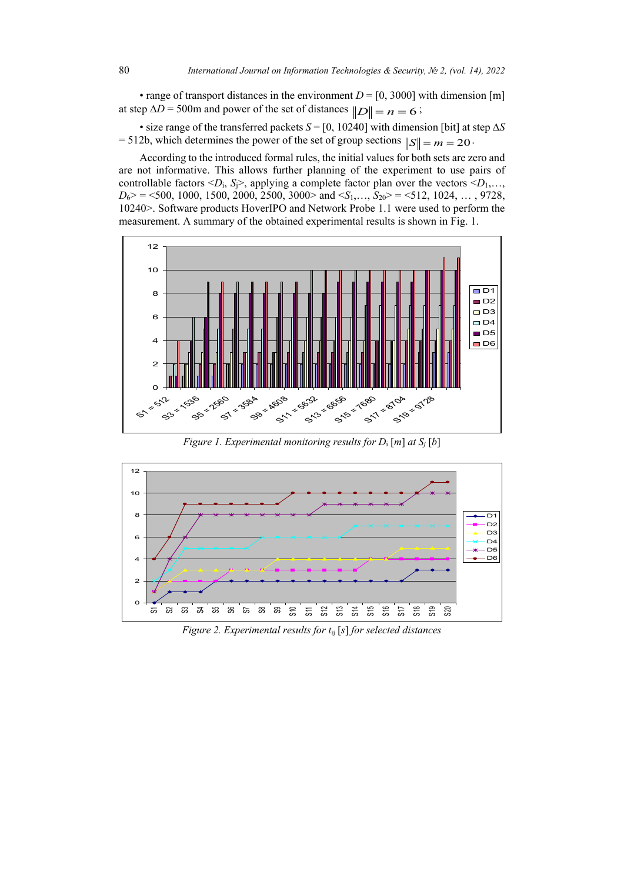• range of transport distances in the environment  $D = [0, 3000]$  with dimension [m] at step  $\Delta D = 500$ m and power of the set of distances  $||D|| = n = 6$ ;

• size range of the transferred packets *S* = [0, 10240] with dimension [bit] at step ∆*S* = 512b, which determines the power of the set of group sections  $||S|| = m = 20$ .

According to the introduced formal rules, the initial values for both sets are zero and are not informative. This allows further planning of the experiment to use pairs of controllable factors  $\langle D_i, S_j \rangle$ , applying a complete factor plan over the vectors  $\langle D_1, \dots, D_k \rangle$  $D_6$  > = <500, 1000, 1500, 2000, 2500, 3000 > and <*S*<sub>1</sub>,..., *S*<sub>20</sub> > = <512, 1024, ..., 9728, 10240>. Software products HoverIPO and Network Probe 1.1 were used to perform the measurement. A summary of the obtained experimental results is shown in Fig. 1.



*Figure 1. Experimental monitoring results for D*<sup>i</sup> [*m*] *at Sj* [*b*]



*Figure 2. Experimental results for t*ij [*s*] *for selected distances*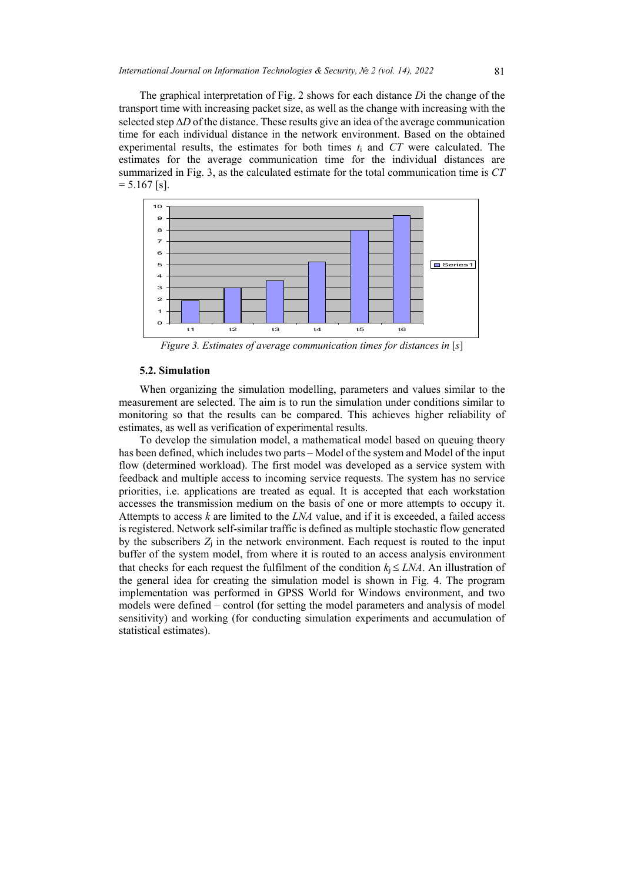The graphical interpretation of Fig. 2 shows for each distance *D*i the change of the transport time with increasing packet size, as well as the change with increasing with the selected step ∆*D* of the distance. These results give an idea of the average communication time for each individual distance in the network environment. Based on the obtained experimental results, the estimates for both times *t*<sup>i</sup> and *CT* were calculated. The estimates for the average communication time for the individual distances are summarized in Fig. 3, as the calculated estimate for the total communication time is *CT*  $= 5.167$  [s].



*Figure 3. Estimates of average communication times for distances in* [*s*]

## **5.2. Simulation**

When organizing the simulation modelling, parameters and values similar to the measurement are selected. The aim is to run the simulation under conditions similar to monitoring so that the results can be compared. This achieves higher reliability of estimates, as well as verification of experimental results.

To develop the simulation model, a mathematical model based on queuing theory has been defined, which includes two parts – Model of the system and Model of the input flow (determined workload). The first model was developed as a service system with feedback and multiple access to incoming service requests. The system has no service priorities, i.e. applications are treated as equal. It is accepted that each workstation accesses the transmission medium on the basis of one or more attempts to occupy it. Attempts to access *k* are limited to the *LNA* value, and if it is exceeded, a failed access is registered. Network self-similar traffic is defined as multiple stochastic flow generated by the subscribers *Z*<sup>j</sup> in the network environment. Each request is routed to the input buffer of the system model, from where it is routed to an access analysis environment that checks for each request the fulfilment of the condition  $k_i \leq LNA$ . An illustration of the general idea for creating the simulation model is shown in Fig. 4. The program implementation was performed in GPSS World for Windows environment, and two models were defined – control (for setting the model parameters and analysis of model sensitivity) and working (for conducting simulation experiments and accumulation of statistical estimates).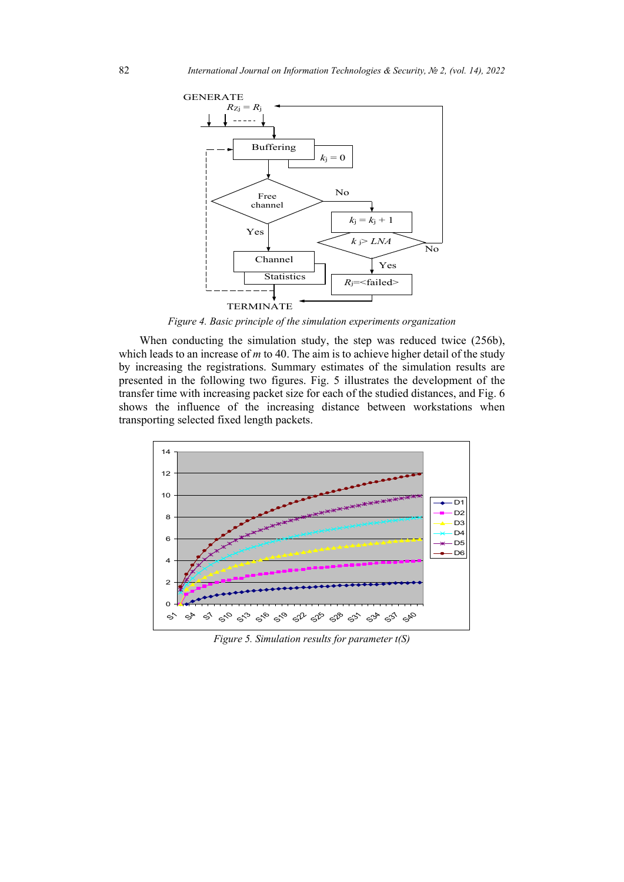

*Figure 4. Basic principle of the simulation experiments organization*

When conducting the simulation study, the step was reduced twice (256b), which leads to an increase of *m* to 40. The aim is to achieve higher detail of the study by increasing the registrations. Summary estimates of the simulation results are presented in the following two figures. Fig. 5 illustrates the development of the transfer time with increasing packet size for each of the studied distances, and Fig. 6 shows the influence of the increasing distance between workstations when transporting selected fixed length packets.



*Figure 5. Simulation results for parameter t(S)*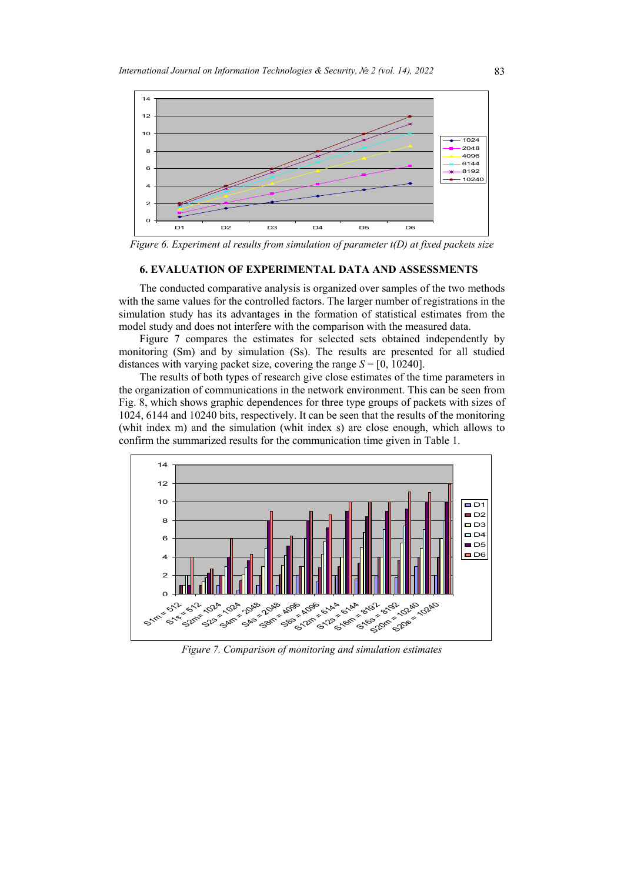

*Figure 6. Experiment al results from simulation of parameter t(D) at fixed packets size* 

## **6. EVALUATION OF EXPERIMENTAL DATA AND ASSESSMENTS**

The conducted comparative analysis is organized over samples of the two methods with the same values for the controlled factors. The larger number of registrations in the simulation study has its advantages in the formation of statistical estimates from the model study and does not interfere with the comparison with the measured data.

Figure 7 compares the estimates for selected sets obtained independently by monitoring (Sm) and by simulation (Ss). The results are presented for all studied distances with varying packet size, covering the range  $S = [0, 10240]$ .

The results of both types of research give close estimates of the time parameters in the organization of communications in the network environment. This can be seen from Fig. 8, which shows graphic dependences for three type groups of packets with sizes of 1024, 6144 and 10240 bits, respectively. It can be seen that the results of the monitoring (whit index m) and the simulation (whit index s) are close enough, which allows to confirm the summarized results for the communication time given in Table 1.



*Figure 7. Comparison of monitoring and simulation estimates*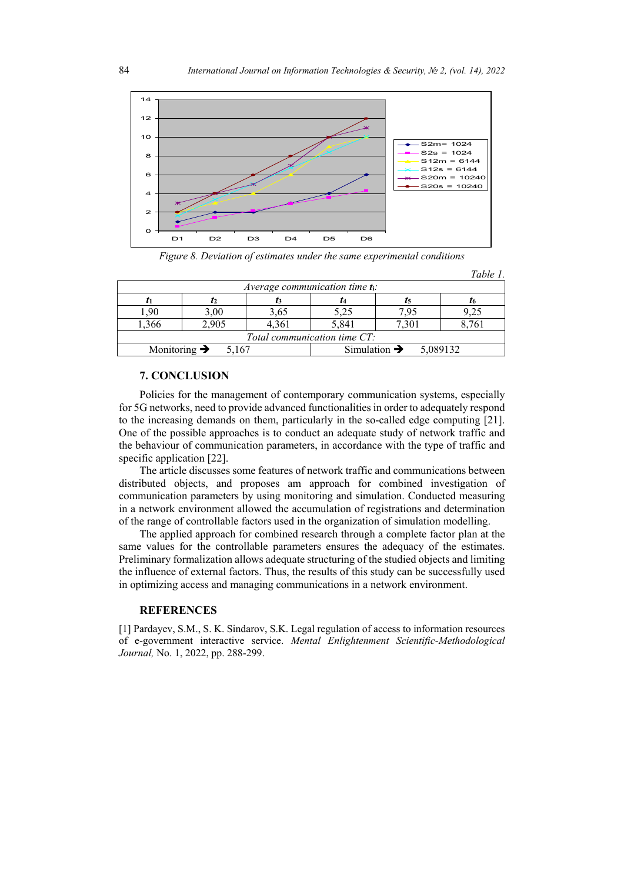

*Figure 8. Deviation of estimates under the same experimental conditions* 

|                                   |       |                                    |                                      |       | Table 1. |
|-----------------------------------|-------|------------------------------------|--------------------------------------|-------|----------|
|                                   |       | Average communication time $t_i$ : |                                      |       |          |
|                                   |       |                                    |                                      | I5    |          |
| .90                               | 3,00  | 3,65                               | 5,25                                 | 7.95  | 9.25     |
| 1,366                             | 2,905 | 4,361                              | 5,841                                | 7,301 | 8,761    |
|                                   |       | Total communication time $CT$ :    |                                      |       |          |
| Monitoring $\rightarrow$<br>5.167 |       |                                    | Simulation $\rightarrow$<br>5,089132 |       |          |

## **7. CONCLUSION**

Policies for the management of contemporary communication systems, especially for 5G networks, need to provide advanced functionalities in order to adequately respond to the increasing demands on them, particularly in the so-called edge computing [21]. One of the possible approaches is to conduct an adequate study of network traffic and the behaviour of communication parameters, in accordance with the type of traffic and specific application [22].

The article discusses some features of network traffic and communications between distributed objects, and proposes am approach for combined investigation of communication parameters by using monitoring and simulation. Conducted measuring in a network environment allowed the accumulation of registrations and determination of the range of controllable factors used in the organization of simulation modelling.

The applied approach for combined research through a complete factor plan at the same values for the controllable parameters ensures the adequacy of the estimates. Preliminary formalization allows adequate structuring of the studied objects and limiting the influence of external factors. Thus, the results of this study can be successfully used in optimizing access and managing communications in a network environment.

#### **REFERENCES**

[1] Pardayev, S.M., S. K. Sindarov, S.K. Legal regulation of access to information resources of e-government interactive service. *Mental Enlightenment Scientific-Methodological Journal,* No. 1, 2022, pp. 288-299.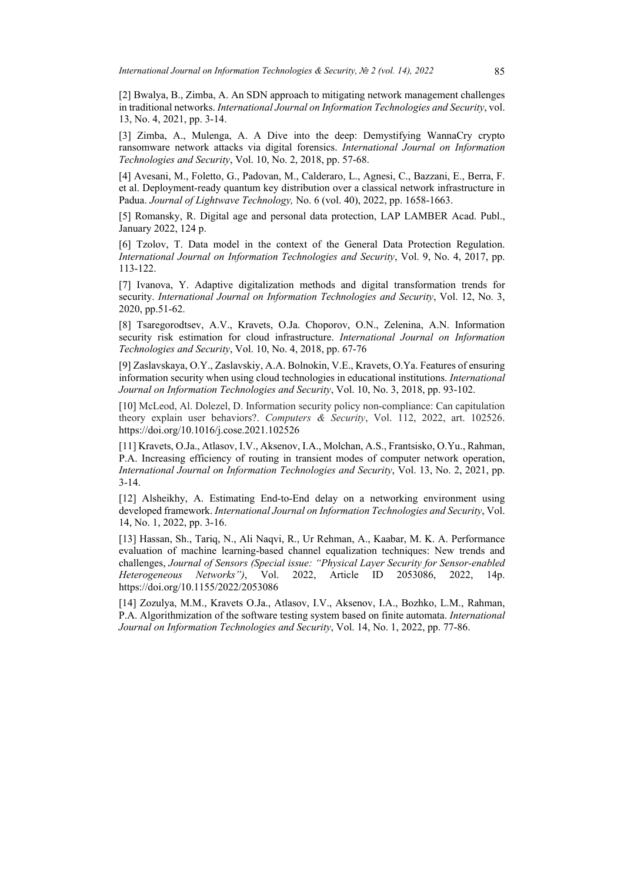[2] Bwalya, B., Zimba, A. An SDN approach to mitigating network management challenges in traditional networks. *International Journal on Information Technologies and Security*, vol. 13, No. 4, 2021, pp. 3-14.

[3] Zimba, A., Mulenga, A. A Dive into the deep: Demystifying WannaCry crypto ransomware network attacks via digital forensics. *International Journal on Information Technologies and Security*, Vol. 10, No. 2, 2018, pp. 57-68.

[4] Avesani, M., Foletto, G., Padovan, M., Calderaro, L., Agnesi, C., Bazzani, E., Berra, F. et al. Deployment-ready quantum key distribution over a classical network infrastructure in Padua. *Journal of Lightwave Technology,* No. 6 (vol. 40), 2022, pp. 1658-1663.

[5] Romansky, R. Digital age and personal data protection, LAP LAMBER Acad. Publ., January 2022, 124 p.

[6] Tzolov, T. Data model in the context of the General Data Protection Regulation. *International Journal on Information Technologies and Security*, Vol. 9, No. 4, 2017, pp. 113-122.

[7] Ivanova, Y. Adaptive digitalization methods and digital transformation trends for security. *International Journal on Information Technologies and Security*, Vol. 12, No. 3, 2020, pp.51-62.

[8] Tsaregorodtsev, A.V., Kravets, O.Ja. Choporov, O.N., Zelenina, A.N. Information security risk estimation for cloud infrastructure. *International Journal on Information Technologies and Security*, Vol. 10, No. 4, 2018, pp. 67-76

[9] Zaslavskaya, O.Y., Zaslavskiy, A.A. Bolnokin, V.E., Kravets, O.Ya. Features of ensuring information security when using cloud technologies in educational institutions. *International Journal on Information Technologies and Security*, Vol. 10, No. 3, 2018, pp. 93-102.

[10] McLeod, Al. Dolezel, D. Information security policy non-compliance: Can capitulation theory explain user behaviors?. *Computers & Security*, Vol. 112, 2022, art. 102526. <https://doi.org/10.1016/j.cose.2021.102526>

[11] Kravets, O.Ja., Atlasov, I.V., Aksenov, I.A., Molchan, A.S., Frantsisko, O.Yu., Rahman, P.A. Increasing efficiency of routing in transient modes of computer network operation, *International Journal on Information Technologies and Security*, Vol. 13, No. 2, 2021, pp. 3-14.

[12] Alsheikhy, A. Estimating End-to-End delay on a networking environment using developed framework. *International Journal on Information Technologies and Security*, Vol. 14, No. 1, 2022, pp. 3-16.

[13] Hassan, Sh., Tariq, N., Ali Naqvi, R., Ur Rehman, A., Kaabar, M. K. A. Performance evaluation of machine learning-based channel equalization techniques: New trends and challenges, *Journal of Sensors (Special issue: "Physical Layer Security for Sensor-enabled Heterogeneous Networks")*, Vol. 2022, Article ID 2053086, 2022, 14p. https://doi.org/10.1155/2022/2053086

[14] Zozulya, M.M., Kravets O.Ja., Atlasov, I.V., Aksenov, I.A., Bozhko, L.M., Rahman, P.A. Algorithmization of the software testing system based on finite automata. *International Journal on Information Technologies and Security*, Vol. 14, No. 1, 2022, pp. 77-86.